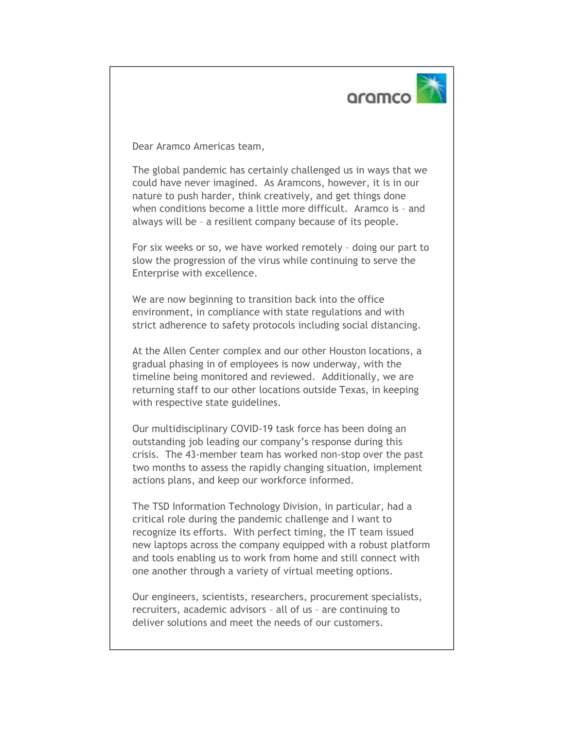

Dear Aramco Americas team,

The global pandemic has certainly challenged us in ways that we could have never imagined. As Aramcons, however, it is in our nature to push harder, think creatively, and get things done when conditions become a little more difficult. Aramco is – and always will be – a resilient company because of its people.

For six weeks or so, we have worked remotely – doing our part to slow the progression of the virus while continuing to serve the Enterprise with excellence.

We are now beginning to transition back into the office environment, in compliance with state regulations and with strict adherence to safety protocols including social distancing.

At the Allen Center complex and our other Houston locations, a gradual phasing in of employees is now underway, with the timeline being monitored and reviewed. Additionally, we are returning staff to our other locations outside Texas, in keeping with respective state guidelines.

Our multidisciplinary COVID-19 task force has been doing an outstanding job leading our company's response during this crisis. The 43-member team has worked non-stop over the past two months to assess the rapidly changing situation, implement actions plans, and keep our workforce informed.

The TSD Information Technology Division, in particular, had a critical role during the pandemic challenge and I want to recognize its efforts. With perfect timing, the IT team issued new laptops across the company equipped with a robust platform and tools enabling us to work from home and still connect with one another through a variety of virtual meeting options.

Our engineers, scientists, researchers, procurement specialists, recruiters, academic advisors – all of us – are continuing to deliver solutions and meet the needs of our customers.